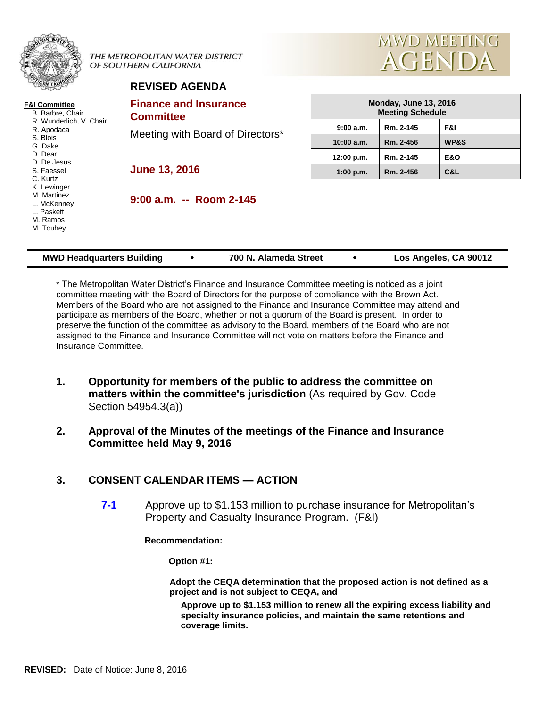|                                                                                                                           |  | THE METROPOLITAN WATER DISTRICT<br>OF SOUTHERN CALIFORNIA |                                                         | <b>MWD MEETING</b><br>AGENDA |                |  |  |  |
|---------------------------------------------------------------------------------------------------------------------------|--|-----------------------------------------------------------|---------------------------------------------------------|------------------------------|----------------|--|--|--|
|                                                                                                                           |  | <b>REVISED AGENDA</b>                                     |                                                         |                              |                |  |  |  |
| <b>F&amp;I Committee</b><br>B. Barbre, Chair<br>R. Wunderlich, V. Chair<br>R. Apodaca<br>S. Blois<br>G. Dake              |  | <b>Finance and Insurance</b><br><b>Committee</b>          | <b>Monday, June 13, 2016</b><br><b>Meeting Schedule</b> |                              |                |  |  |  |
|                                                                                                                           |  | Meeting with Board of Directors*                          | 9:00 a.m.                                               | Rm. 2-145                    | F&I            |  |  |  |
|                                                                                                                           |  |                                                           | 10:00 a.m.                                              | Rm. 2-456                    | WP&S           |  |  |  |
| D. Dear                                                                                                                   |  |                                                           | 12:00 p.m.                                              | Rm. 2-145                    | <b>E&amp;O</b> |  |  |  |
| D. De Jesus<br>S. Faessel<br>C. Kurtz<br>K. Lewinger<br>M. Martinez<br>L. McKenney<br>L. Paskett<br>M. Ramos<br>M. Touhey |  | <b>June 13, 2016</b>                                      | 1:00 p.m.                                               | Rm. 2-456                    | C&L            |  |  |  |
|                                                                                                                           |  | $9:00$ a.m. $-$ Room 2-145                                |                                                         |                              |                |  |  |  |

| <b>MWD Headquarters Building</b> |  | 700 N. Alameda Street |  | Los Angeles, CA 90012 |
|----------------------------------|--|-----------------------|--|-----------------------|
|----------------------------------|--|-----------------------|--|-----------------------|

\* The Metropolitan Water District's Finance and Insurance Committee meeting is noticed as a joint committee meeting with the Board of Directors for the purpose of compliance with the Brown Act. Members of the Board who are not assigned to the Finance and Insurance Committee may attend and participate as members of the Board, whether or not a quorum of the Board is present. In order to preserve the function of the committee as advisory to the Board, members of the Board who are not assigned to the Finance and Insurance Committee will not vote on matters before the Finance and Insurance Committee.

- **1. Opportunity for members of the public to address the committee on matters within the committee's jurisdiction** (As required by Gov. Code Section 54954.3(a))
- **2. Approval of the Minutes of the meetings of the Finance and Insurance Committee held May 9, 2016**

## **3. CONSENT CALENDAR ITEMS — ACTION**

**7-1** Approve up to \$1.153 million to purchase insurance for Metropolitan's Property and Casualty Insurance Program. (F&I)

**Recommendation:**

**Option #1:**

**Adopt the CEQA determination that the proposed action is not defined as a project and is not subject to CEQA, and**

**Approve up to \$1.153 million to renew all the expiring excess liability and specialty insurance policies, and maintain the same retentions and coverage limits.**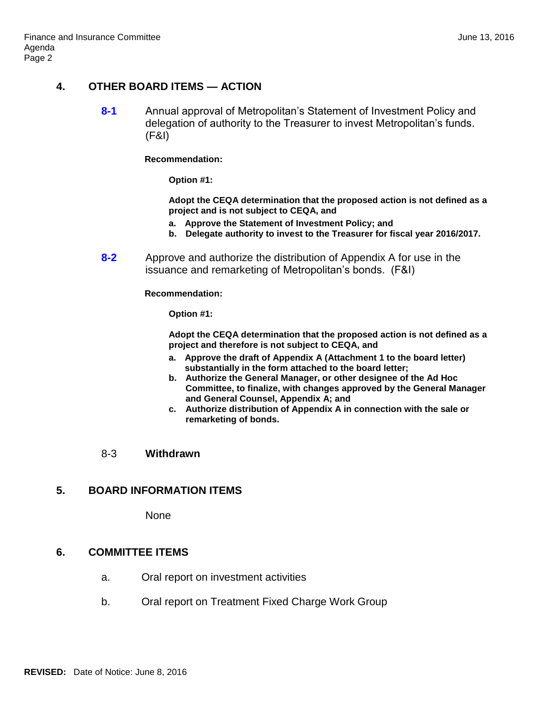# **4. OTHER BOARD ITEMS — ACTION**

**8-1** Annual approval of Metropolitan's Statement of Investment Policy and delegation of authority to the Treasurer to invest Metropolitan's funds. (F&I)

**Recommendation:**

**Option #1:**

**Adopt the CEQA determination that the proposed action is not defined as a project and is not subject to CEQA, and**

- **a. Approve the Statement of Investment Policy; and**
- **b. Delegate authority to invest to the Treasurer for fiscal year 2016/2017.**
- **8-2** Approve and authorize the distribution of Appendix A for use in the issuance and remarketing of Metropolitan's bonds. (F&I)

**Recommendation:**

**Option #1:**

**Adopt the CEQA determination that the proposed action is not defined as a project and therefore is not subject to CEQA, and**

- **a. Approve the draft of Appendix A (Attachment 1 to the board letter) substantially in the form attached to the board letter;**
- **b. Authorize the General Manager, or other designee of the Ad Hoc Committee, to finalize, with changes approved by the General Manager and General Counsel, Appendix A; and**
- **c. Authorize distribution of Appendix A in connection with the sale or remarketing of bonds.**

#### 8-3 **Withdrawn**

## **5. BOARD INFORMATION ITEMS**

None

## **6. COMMITTEE ITEMS**

- a. Oral report on investment activities
- b. Oral report on Treatment Fixed Charge Work Group